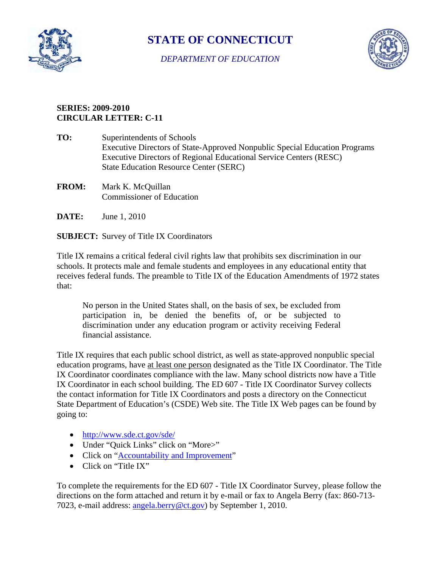

# **STATE OF CONNECTICUT**

*DEPARTMENT OF EDUCATION*



## **SERIES: 2009-2010 CIRCULAR LETTER: C-11**

- **TO:** Superintendents of Schools Executive Directors of State-Approved Nonpublic Special Education Programs Executive Directors of Regional Educational Service Centers (RESC) State Education Resource Center (SERC)
- FROM: Mark K. McQuillan Commissioner of Education
- **DATE:** June 1, 2010

# **SUBJECT:** Survey of Title IX Coordinators

Title IX remains a critical federal civil rights law that prohibits sex discrimination in our schools. It protects male and female students and employees in any educational entity that receives federal funds. The preamble to Title IX of the Education Amendments of 1972 states that:

No person in the United States shall, on the basis of sex, be excluded from participation in, be denied the benefits of, or be subjected to discrimination under any education program or activity receiving Federal financial assistance.

Title IX requires that each public school district, as well as state-approved nonpublic special education programs, have at least one person designated as the Title IX Coordinator. The Title IX Coordinator coordinates compliance with the law. Many school districts now have a Title IX Coordinator in each school building. The ED 607 - Title IX Coordinator Survey collects the contact information for Title IX Coordinators and posts a directory on the Connecticut State Department of Education's (CSDE) Web site. The Title IX Web pages can be found by going to:

- <http://www.sde.ct.gov/sde/>
- Under "Quick Links" click on "More>"
- Click on "[Accountability and Improvement"](http://www.sde.ct.gov/sde/cwp/view.asp?a=2700&Q=322192)
- Click on "Title IX"

To complete the requirements for the ED 607 - Title IX Coordinator Survey, please follow the directions on the form attached and return it by e-mail or fax to Angela Berry (fax: 860-713- 7023, e-mail address: [angela.berry@ct.gov\)](mailto:angela.berry@ct.gov) by September 1, 2010.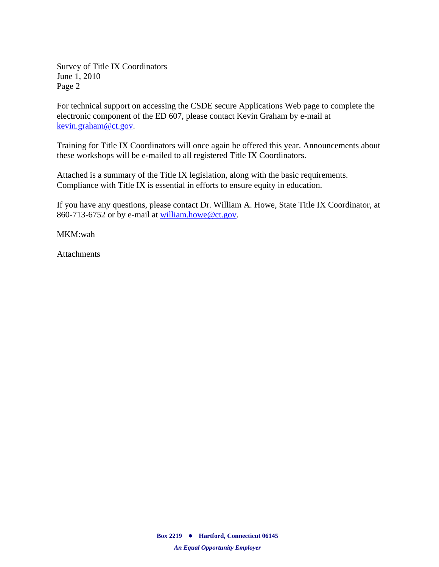Survey of Title IX Coordinators June 1, 2010 Page 2

For technical support on accessing the CSDE secure Applications Web page to complete the electronic component of the ED 607, please contact Kevin Graham by e-mail at [kevin.graham@ct.gov.](mailto:kevin.graham@ct.gov)

Training for Title IX Coordinators will once again be offered this year. Announcements about these workshops will be e-mailed to all registered Title IX Coordinators.

Attached is a summary of the Title IX legislation, along with the basic requirements. Compliance with Title IX is essential in efforts to ensure equity in education.

If you have any questions, please contact Dr. William A. Howe, State Title IX Coordinator, at 860-713-6752 or by e-mail at [william.howe@ct.gov.](mailto:william.howe@ct.gov)

MKM:wah

Attachments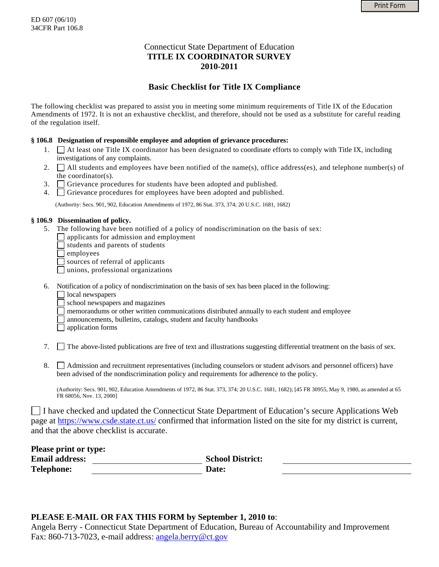## Connecticut State Department of Education **TITLE IX COORDINATOR SURVEY 2010-2011**

## **Basic Checklist for Title IX Compliance**

The following checklist was prepared to assist you in meeting some minimum requirements of Title IX of the Education Amendments of 1972. It is not an exhaustive checklist, and therefore, should not be used as a substitute for careful reading of the regulation itself.

## **§ 106.8 Designation of responsible employee and adoption of grievance procedures:**

- 1.  $\Box$  At least one Title IX coordinator has been designated to coordinate efforts to comply with Title IX, including investigations of any complaints.
- 2.  $\Box$  All students and employees have been notified of the name(s), office address(es), and telephone number(s) of the coordinator(s).
- 3. Grievance procedures for students have been adopted and published.
- 4. Grievance procedures for employees have been adopted and published.

(Authority: Secs. 901, 902, Education Amendments of 1972, 86 Stat. 373, 374; 20 U.S.C. 1681, 1682)

## **§ 106.9 Dissemination of policy.**

- 5. The following have been notified of a policy of nondiscrimination on the basis of sex:
	- applicants for admission and employment
	- $\Box$  students and parents of students
	- **d**employees
	- sources of referral of applicants
	- $\Box$  unions, professional organizations
- 6. Notification of a policy of nondiscrimination on the basis of sex has been placed in the following:
	- ocal newspapers
	- school newspapers and magazines
	- memorandums or other written communications distributed annually to each student and employee
	- announcements, bulletins, catalogs, student and faculty handbooks
	- samplication forms
- 7. The above-listed publications are free of text and illustrations suggesting differential treatment on the basis of sex.
- 8. Admission and recruitment representatives (including counselors or student advisors and personnel officers) have been advised of the nondiscrimination policy and requirements for adherence to the policy.

(Authority: Secs. 901, 902, Education Amendments of 1972, 86 Stat. 373, 374; 20 U.S.C. 1681, 1682); [45 FR 30955, May 9, 1980, as amended at 65 FR 68056, Nov. 13, 2000]

 I have checked and updated the Connecticut State Department of Education's secure Applications Web page at <https://www.csde.state.ct.us/>confirmed that information listed on the site for my district is current, and that the above checklist is accurate.

| <b>Please print or type:</b> |                         |  |
|------------------------------|-------------------------|--|
| <b>Email address:</b>        | <b>School District:</b> |  |
| <b>Telephone:</b>            | <b>Date:</b>            |  |

## **PLEASE E-MAIL OR FAX THIS FORM by September 1, 2010 to**:

Angela Berry - Connecticut State Department of Education, Bureau of Accountability and Improvement Fax: 860-713-7023, e-mail address: [angela.berry@ct.gov](mailto:angela.berry@ct.gov)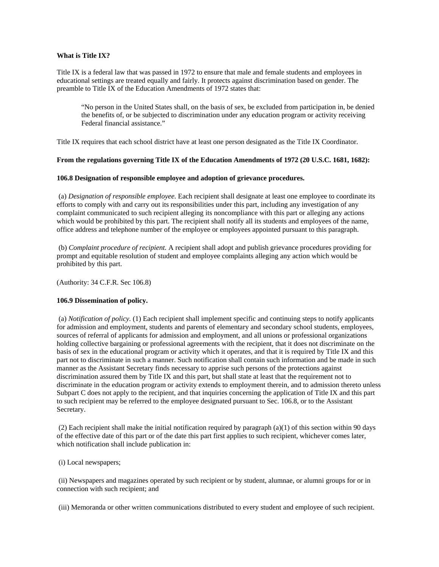#### **What is Title IX?**

Title IX is a federal law that was passed in 1972 to ensure that male and female students and employees in educational settings are treated equally and fairly. It protects against discrimination based on gender. The preamble to Title IX of the Education Amendments of 1972 states that:

"No person in the United States shall, on the basis of sex, be excluded from participation in, be denied the benefits of, or be subjected to discrimination under any education program or activity receiving Federal financial assistance."

Title IX requires that each school district have at least one person designated as the Title IX Coordinator.

#### **From the regulations governing Title IX of the Education Amendments of 1972 (20 U.S.C. 1681, 1682):**

#### **106.8 Designation of responsible employee and adoption of grievance procedures.**

 (a) *Designation of responsible employee.* Each recipient shall designate at least one employee to coordinate its efforts to comply with and carry out its responsibilities under this part, including any investigation of any complaint communicated to such recipient alleging its noncompliance with this part or alleging any actions which would be prohibited by this part. The recipient shall notify all its students and employees of the name, office address and telephone number of the employee or employees appointed pursuant to this paragraph.

 (b) *Complaint procedure of recipient.* A recipient shall adopt and publish grievance procedures providing for prompt and equitable resolution of student and employee complaints alleging any action which would be prohibited by this part.

(Authority: 34 C.F.R. Sec 106.8)

#### **106.9 Dissemination of policy.**

 (a) *Notification of policy.* (1) Each recipient shall implement specific and continuing steps to notify applicants for admission and employment, students and parents of elementary and secondary school students, employees, sources of referral of applicants for admission and employment, and all unions or professional organizations holding collective bargaining or professional agreements with the recipient, that it does not discriminate on the basis of sex in the educational program or activity which it operates, and that it is required by Title IX and this part not to discriminate in such a manner. Such notification shall contain such information and be made in such manner as the Assistant Secretary finds necessary to apprise such persons of the protections against discrimination assured them by Title IX and this part, but shall state at least that the requirement not to discriminate in the education program or activity extends to employment therein, and to admission thereto unless Subpart C does not apply to the recipient, and that inquiries concerning the application of Title IX and this part to such recipient may be referred to the employee designated pursuant to Sec. 106.8, or to the Assistant Secretary.

(2) Each recipient shall make the initial notification required by paragraph (a)(1) of this section within 90 days of the effective date of this part or of the date this part first applies to such recipient, whichever comes later, which notification shall include publication in:

(i) Local newspapers;

 (ii) Newspapers and magazines operated by such recipient or by student, alumnae, or alumni groups for or in connection with such recipient; and

(iii) Memoranda or other written communications distributed to every student and employee of such recipient.